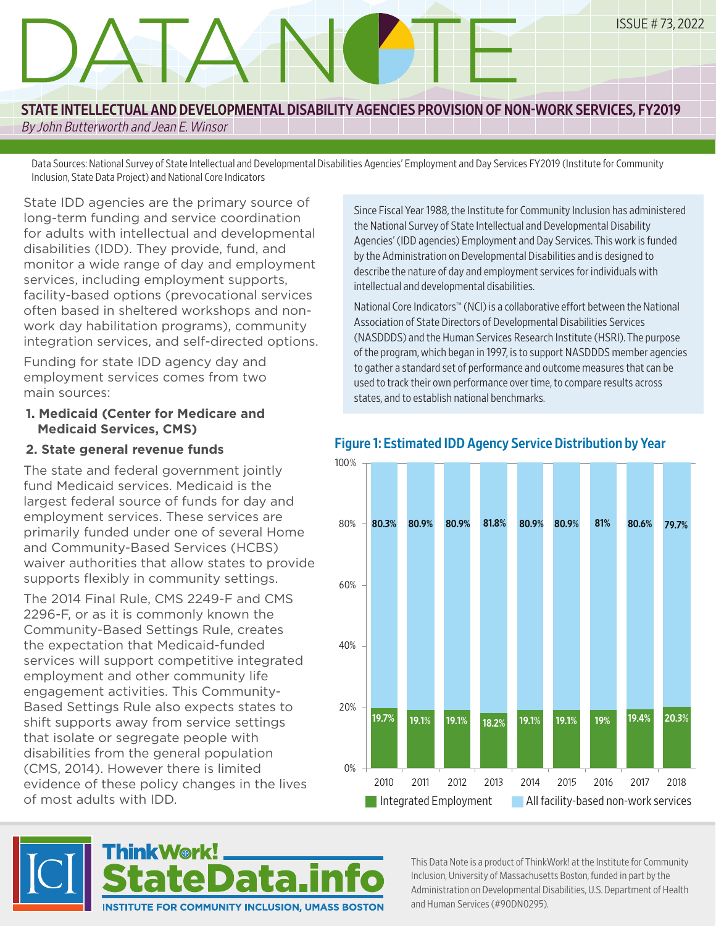# DATA NOTE ISSUE # 73, 2022

# STATE INTELLECTUAL AND DEVELOPMENTAL DISABILITY AGENCIES PROVISION OF NON-WORK SERVICES, FY2019

By John Butterworth and Jean E. Winsor

Data Sources: National Survey of State Intellectual and Developmental Disabilities Agencies' Employment and Day Services FY2019 (Institute for Community Inclusion, State Data Project) and National Core Indicators

State IDD agencies are the primary source of long-term funding and service coordination for adults with intellectual and developmental disabilities (IDD). They provide, fund, and monitor a wide range of day and employment services, including employment supports, facility-based options (prevocational services often based in sheltered workshops and nonwork day habilitation programs), community integration services, and self-directed options.

EMPLOYMENT BLAH BLAH BLAH AND ALSO YABBA DABBA

Funding for state IDD agency day and employment services comes from two main sources:

**1. Medicaid (Center for Medicare and Medicaid Services, CMS)**

#### **2. State general revenue funds**

The state and federal government jointly fund Medicaid services. Medicaid is the largest federal source of funds for day and employment services. These services are primarily funded under one of several Home and Community-Based Services (HCBS) waiver authorities that allow states to provide supports flexibly in community settings.

The 2014 Final Rule, CMS 2249-F and CMS 2296-F, or as it is commonly known the Community-Based Settings Rule, creates the expectation that Medicaid-funded services will support competitive integrated employment and other community life engagement activities. This Community-Based Settings Rule also expects states to shift supports away from service settings that isolate or segregate people with disabilities from the general population (CMS, 2014). However there is limited evidence of these policy changes in the lives of most adults with IDD.

**INSTITUTE FOR COMMUNITY INCLUSION, UMASS BOSTON** 



National Core Indicators™ (NCI) is a collaborative effort between the National Association of State Directors of Developmental Disabilities Services (NASDDDS) and the Human Services Research Institute (HSRI). The purpose of the program, which began in 1997, is to support NASDDDS member agencies to gather a standard set of performance and outcome measures that can be used to track their own performance over time, to compare results across states, and to establish national benchmarks.



### Figure 1: Estimated IDD Agency Service Distribution by Year

This Data Note is a product of ThinkWork! at the Institute for Community Inclusion, University of Massachusetts Boston, funded in part by the Administration on Developmental Disabilities, U.S. Department of Health and Human Services (#90DN0295).